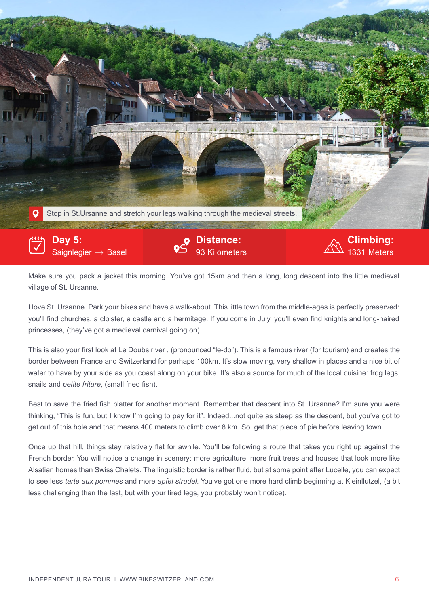

Saignlegier  $\rightarrow$  Basel

**Distance:** 

1331 Meters

Make sure you pack a jacket this morning. You've got 15km and then a long, long descent into the little medieval village of St. Ursanne.

I love St. Ursanne. Park your bikes and have a walk-about. This little town from the middle-ages is perfectly preserved: you'll find churches, a cloister, a castle and a hermitage. If you come in July, you'll even find knights and long-haired princesses, (they've got a medieval carnival going on).

This is also your first look at Le Doubs river , (pronounced "le-do"). This is a famous river (for tourism) and creates the border between France and Switzerland for perhaps 100km. It's slow moving, very shallow in places and a nice bit of water to have by your side as you coast along on your bike. It's also a source for much of the local cuisine: frog legs, snails and *petite friture*, (small fried fish).

Best to save the fried fish platter for another moment. Remember that descent into St. Ursanne? I'm sure you were thinking, "This is fun, but I know I'm going to pay for it". Indeed...not quite as steep as the descent, but you've got to get out of this hole and that means 400 meters to climb over 8 km. So, get that piece of pie before leaving town.

Once up that hill, things stay relatively flat for awhile. You'll be following a route that takes you right up against the French border. You will notice a change in scenery: more agriculture, more fruit trees and houses that look more like Alsatian homes than Swiss Chalets. The linguistic border is rather fluid, but at some point after Lucelle, you can expect to see less *tarte aux pommes* and more *apfel strudel*. You've got one more hard climb beginning at Kleinllutzel, (a bit less challenging than the last, but with your tired legs, you probably won't notice).